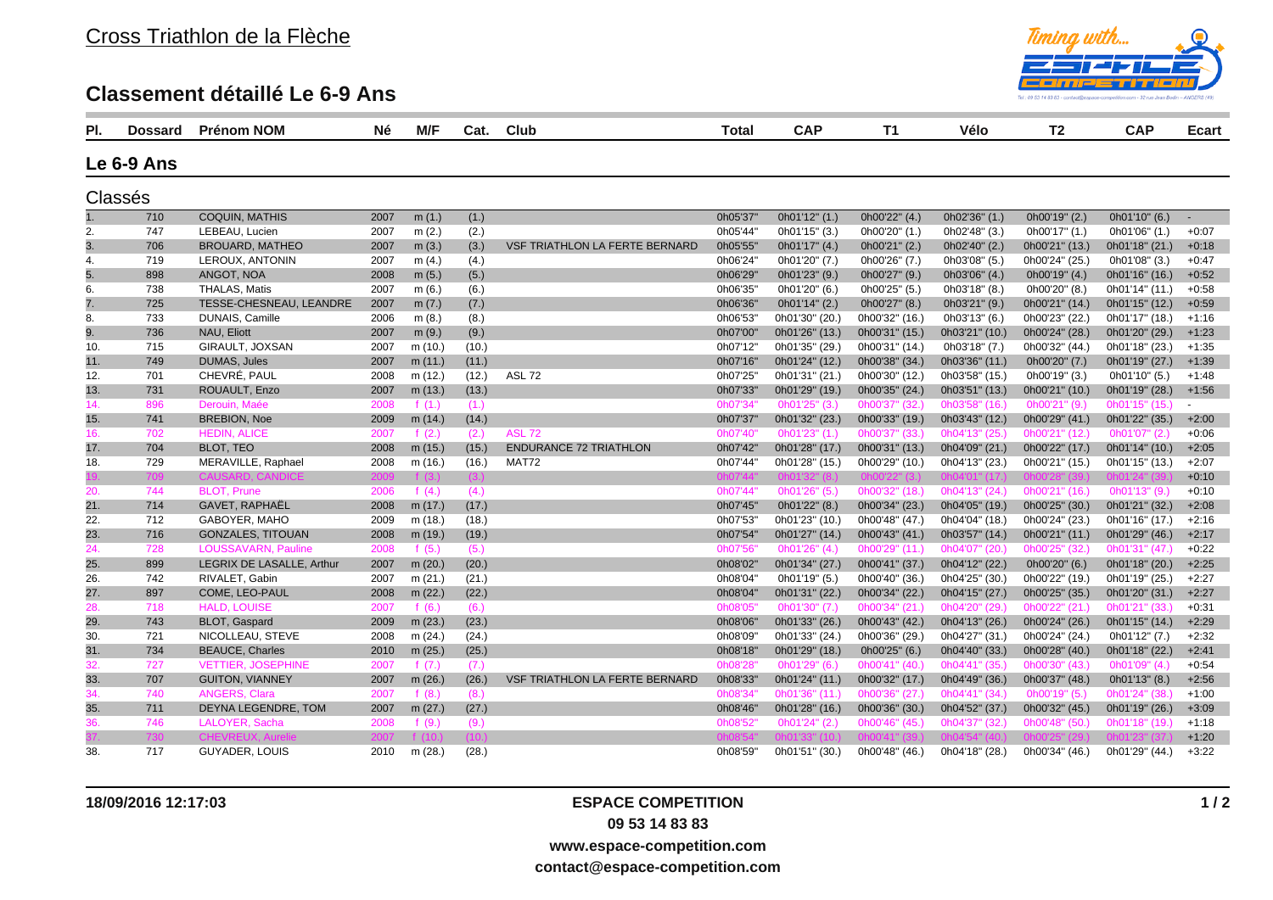## **Classement détaillé Le 6-9 Ans**



| PI. | <b>Dossard</b> | <b>Prénom NOM</b>          | Né   | M/F       | Cat.  | <b>Club</b>                           | Total    | <b>CAP</b>     | T <sub>1</sub> | Vélo           | T <sub>2</sub> | <b>CAP</b>     | Ecart          |
|-----|----------------|----------------------------|------|-----------|-------|---------------------------------------|----------|----------------|----------------|----------------|----------------|----------------|----------------|
|     | Le 6-9 Ans     |                            |      |           |       |                                       |          |                |                |                |                |                |                |
|     |                |                            |      |           |       |                                       |          |                |                |                |                |                |                |
|     | Classés        |                            |      |           |       |                                       |          |                |                |                |                |                |                |
| 1.  | 710            | <b>COQUIN, MATHIS</b>      | 2007 | m(1.)     | (1.)  |                                       | 0h05'37' | 0h01'12" (1.)  | 0h00'22" (4.)  | 0h02'36" (1.)  | 0h00'19" (2.)  | 0h01'10" (6.)  | $\sim$         |
| 2.  | 747            | LEBEAU, Lucien             | 2007 | m(2.)     | (2.)  |                                       | 0h05'44' | 0h01'15" (3.)  | 0h00'20" (1.)  | 0h02'48" (3.)  | 0h00'17" (1.)  | 0h01'06" (1.)  | $+0:07$        |
| 3.  | 706            | <b>BROUARD, MATHEO</b>     | 2007 | m(3.)     | (3.)  | <b>VSF TRIATHLON LA FERTE BERNARD</b> | 0h05'55' | 0h01'17" (4.)  | 0h00'21" (2.)  | 0h02'40" (2.)  | 0h00'21" (13.) | 0h01'18" (21.) | $+0:18$        |
| 4.  | 719            | LEROUX, ANTONIN            | 2007 | m(4.)     | (4.)  |                                       | 0h06'24' | 0h01'20" (7.)  | 0h00'26" (7.)  | 0h03'08" (5.)  | 0h00'24" (25.) | 0h01'08" (3.)  | $+0:47$        |
| 5.  | 898            | ANGOT, NOA                 | 2008 | m(5.)     | (5.)  |                                       | 0h06'29' | 0h01'23" (9.)  | 0h00'27" (9.)  | 0h03'06" (4.)  | 0h00'19" (4.)  | 0h01'16" (16.) | $+0:52$        |
| 6.  | 738            | THALAS, Matis              | 2007 | m(6.)     | (6.)  |                                       | 0h06'35' | 0h01'20" (6.)  | 0h00'25" (5.)  | 0h03'18" (8.)  | 0h00'20" (8.)  | 0h01'14" (11.) | $+0:58$        |
| 7.  | 725            | TESSE-CHESNEAU, LEANDRE    | 2007 | m(7.)     | (7.)  |                                       | 0h06'36' | 0h01'14" (2.)  | 0h00'27" (8.)  | 0h03'21" (9.)  | 0h00'21" (14.) | 0h01'15" (12.) | $+0:59$        |
| 8.  | 733            | DUNAIS, Camille            | 2006 | m(8.)     | (8.)  |                                       | 0h06'53' | 0h01'30" (20.) | 0h00'32" (16.) | 0h03'13" (6.)  | 0h00'23" (22.) | 0h01'17" (18.) | $+1:16$        |
| 9.  | 736            | NAU, Eliott                | 2007 | m(9.)     | (9.)  |                                       | 0h07'00' | 0h01'26" (13.) | 0h00'31" (15.) | 0h03'21" (10.) | 0h00'24" (28.) | 0h01'20" (29.) | $+1:23$        |
| 10. | 715            | GIRAULT, JOXSAN            | 2007 | m (10.)   | (10.) |                                       | 0h07'12" | 0h01'35" (29.) | 0h00'31" (14.) | 0h03'18" (7.)  | 0h00'32" (44.) | 0h01'18" (23.) | $+1:35$        |
| 11. | 749            | <b>DUMAS, Jules</b>        | 2007 | m (11.)   | (11.) |                                       | 0h07'16' | 0h01'24" (12.) | 0h00'38" (34.) | 0h03'36" (11.) | 0h00'20" (7.)  | 0h01'19" (27.) | $+1:39$        |
| 12. | 701            | CHEVRÉ, PAUL               | 2008 | m (12.)   | (12.) | <b>ASL 72</b>                         | 0h07'25' | 0h01'31" (21.) | 0h00'30" (12.) | 0h03'58" (15.) | 0h00'19" (3.)  | 0h01'10" (5.)  | $+1:48$        |
| 13. | 731            | ROUAULT, Enzo              | 2007 | m (13.)   | (13.) |                                       | 0h07'33' | 0h01'29" (19.) | 0h00'35" (24.) | 0h03'51" (13.) | 0h00'21" (10.) | 0h01'19" (28.) | $+1:56$        |
| 14. | 896            | Derouin, Maée              | 2008 | f $(1.)$  | (1.)  |                                       | 0h07'34' | 0h01'25" (3.)  | 0h00'37" (32.) | 0h03'58" (16.) | 0h00'21" (9.)  | 0h01'15" (15.) | $\blacksquare$ |
| 15. | 741            | <b>BREBION, Noe</b>        | 2009 | m $(14.)$ | (14.) |                                       | 0h07'37' | 0h01'32" (23.) | 0h00'33" (19.) | 0h03'43" (12.) | 0h00'29" (41.) | 0h01'22" (35.) | $+2:00$        |
| 16. | 702            | <b>HEDIN, ALICE</b>        | 2007 | f $(2.)$  | (2.)  | <b>ASL 72</b>                         | 0h07'40' | 0h01'23" (1.)  | 0h00'37" (33.) | 0h04'13" (25.) | 0h00'21" (12.) | 0h01'07" (2.)  | $+0:06$        |
| 17. | 704            | <b>BLOT. TEO</b>           | 2008 | m (15.)   | (15.) | <b>ENDURANCE 72 TRIATHLON</b>         | 0h07'42" | 0h01'28" (17.) | 0h00'31" (13.) | 0h04'09" (21.) | 0h00'22" (17.) | 0h01'14" (10.) | $+2:05$        |
| 18. | 729            | MERAVILLE, Raphael         | 2008 | m (16.)   | (16.) | MAT72                                 | 0h07'44' | 0h01'28" (15.) | 0h00'29" (10.) | 0h04'13" (23.) | 0h00'21" (15.) | 0h01'15" (13.) | $+2:07$        |
|     | 709            | CAUSARD CANDICE            | 2009 | f $(3.)$  | (3.)  |                                       | 0h07'44  |                |                |                |                |                | $+0:10$        |
| 20. | 744            | <b>BLOT, Prune</b>         | 2006 | f $(4.)$  | (4.)  |                                       | 0h07'44' | 0h01'26" (5.)  | 0h00'32" (18.) | 0h04'13" (24.) | 0h00'21" (16.) | 0h01'13" (9.)  | $+0:10$        |
| 21. | 714            | GAVET, RAPHAËL             | 2008 | m (17.)   | (17.) |                                       | 0h07'45' | 0h01'22" (8.)  | 0h00'34" (23.) | 0h04'05" (19.) | 0h00'25" (30.) | 0h01'21" (32.) | $+2:08$        |
| 22. | 712            | GABOYER, MAHO              | 2009 | m (18.)   | (18.) |                                       | 0h07'53' | 0h01'23" (10.) | 0h00'48" (47.) | 0h04'04" (18.) | 0h00'24" (23.) | 0h01'16" (17.) | $+2:16$        |
| 23. | 716            | <b>GONZALES, TITOUAN</b>   | 2008 | m (19.)   | (19.) |                                       | 0h07'54' | 0h01'27" (14.) | 0h00'43" (41.) | 0h03'57" (14.) | 0h00'21" (11.) | 0h01'29" (46.) | $+2:17$        |
| 24. | 728            | <b>LOUSSAVARN, Pauline</b> | 2008 | f(5.)     | (5.)  |                                       | 0h07'56  | 0h01'26" (4.)  | 0h00'29" (11.) | 0h04'07" (20.) | 0h00'25" (32.) | 0h01'31" (47.) | $+0:22$        |
| 25. | 899            | LEGRIX DE LASALLE, Arthur  | 2007 | m $(20.)$ | (20.) |                                       | 0h08'02' | 0h01'34" (27.) | 0h00'41" (37.) | 0h04'12" (22.) | 0h00'20" (6.)  | 0h01'18" (20.) | $+2:25$        |
| 26. | 742            | RIVALET, Gabin             | 2007 | m(21.)    | (21.) |                                       | 0h08'04' | 0h01'19" (5.)  | 0h00'40" (36.) | 0h04'25" (30.) | 0h00'22" (19.) | 0h01'19" (25.) | $+2:27$        |
| 27. | 897            | <b>COME. LEO-PAUL</b>      | 2008 | m (22.)   | (22.) |                                       | 0h08'04' | 0h01'31" (22.) | 0h00'34" (22.) | 0h04'15" (27.) | 0h00'25" (35.) | 0h01'20" (31.) | $+2:27$        |
| 28. | 718            | <b>HALD, LOUISE</b>        | 2007 | f $(6.)$  | (6.)  |                                       | 0h08'05' | 0h01'30" (7.)  | 0h00'34" (21.) | 0h04'20" (29.) | 0h00'22" (21.) | 0h01'21" (33.) | $+0:31$        |
| 29. | 743            | BLOT, Gaspard              | 2009 | m(23.)    | (23.) |                                       | 0h08'06' | 0h01'33" (26.) | 0h00'43" (42.) | 0h04'13" (26.) | 0h00'24" (26.) | 0h01'15" (14.) | $+2:29$        |
| 30. | 721            | NICOLLEAU, STEVE           | 2008 | m(24.)    | (24.) |                                       | 0h08'09' | 0h01'33" (24.) | 0h00'36" (29.) | 0h04'27" (31.) | 0h00'24" (24.) | 0h01'12" (7.)  | $+2:32$        |
| 31. | 734            | <b>BEAUCE, Charles</b>     | 2010 | m $(25.)$ | (25.) |                                       | 0h08'18' | 0h01'29" (18.) | 0h00'25" (6.)  | 0h04'40" (33.) | 0h00'28" (40.) | 0h01'18" (22.) | $+2:41$        |
| 32. | 727            | <b>VETTIER, JOSEPHINE</b>  | 2007 | f $(7.)$  | (7.)  |                                       | 0h08'28  | 0h01'29" (6.)  | 0h00'41" (40.) | 0h04'41" (35.) | 0h00'30" (43.) | 0h01'09" (4.)  | $+0:54$        |
| 33. | 707            | <b>GUITON, VIANNEY</b>     | 2007 | m $(26.)$ | (26.) | <b>VSF TRIATHLON LA FERTE BERNARD</b> | 0h08'33' | 0h01'24" (11.) | 0h00'32" (17.) | 0h04'49" (36.) | 0h00'37" (48.) | 0h01'13" (8.)  | $+2:56$        |
| 34. | 740            | <b>ANGERS, Clara</b>       | 2007 | f $(8.)$  | (8.)  |                                       | 0h08'34  | 0h01'36" (11.) | 0h00'36" (27.) | 0h04'41" (34.) | 0h00'19" (5.)  | 0h01'24" (38.  | $+1:00$        |
| 35. | 711            | DEYNA LEGENDRE, TOM        | 2007 | m $(27.)$ | (27.) |                                       | 0h08'46' | 0h01'28" (16.) | 0h00'36" (30.) | 0h04'52" (37.) | 0h00'32" (45.) | 0h01'19" (26.) | $+3:09$        |
| 36. | 746            | LALOYER, Sacha             | 2008 | f(9.)     | (9.)  |                                       | 0h08'52  | 0h01'24" (2.)  | 0h00'46" (45.) | 0h04'37" (32.) | 0h00'48" (50.) | 0h01'18" (19.  | $+1:18$        |
|     | 730            |                            | 2007 | f (10.    | (10)  |                                       |          |                | 0h00'41'' (39  |                |                | 0h01'23"       | $+1:20$        |
| 38. | 717            | GUYADER, LOUIS             | 2010 | m (28.)   | (28.) |                                       | 0h08'59" | 0h01'51" (30.) | 0h00'48" (46.) | 0h04'18" (28.) | 0h00'34" (46.) | 0h01'29" (44.) | $+3:22$        |

## **18/09/2016 12:17:03 ESPACE COMPETITION 09 53 14 83 83 www.espace-competition.com**

**contact@espace-competition.com**